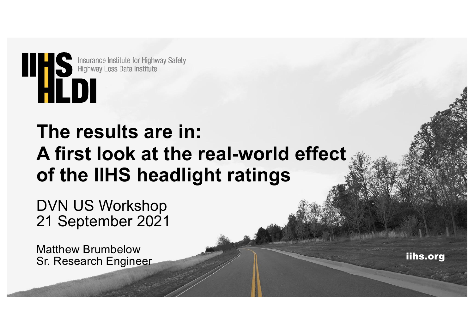

# **The results are in: A first look at the real-world effect of the IIHS headlight ratings**

DVN US Workshop 21 September 2021

Matthew Brumbelow Sr. Research Engineer

iihs.org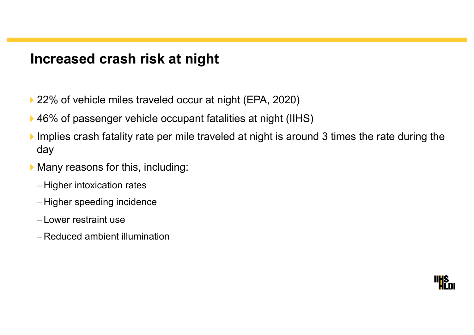# **Increased crash risk at night**

- ▶ 22% of vehicle miles traveled occur at night (EPA, 2020)
- ▶ 46% of passenger vehicle occupant fatalities at night (IIHS)
- Implies crash fatality rate per mile traveled at night is around 3 times the rate during the day
- $\blacktriangleright$  Many reasons for this, including:
	- Higher intoxication rates
	- Higher speeding incidence
	- Lower restraint use
	- Reduced ambient illumination

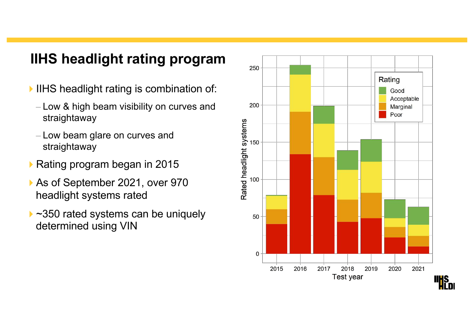# **IIHS headlight rating program**

- IHS headlight rating is combination of:
	- Low & high beam visibility on curves and straightaway
	- Low beam glare on curves and straightaway
- ▶ Rating program began in 2015
- ▶ As of September 2021, over 970 headlight systems rated
- ▶ ~350 rated systems can be uniquely determined using VIN

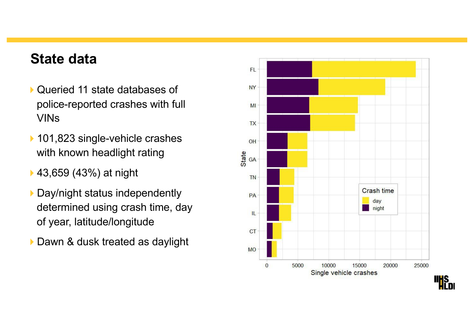#### **State data**

- ▶ Queried 11 state databases of police-reported crashes with full VINs
- ▶ 101,823 single-vehicle crashes with known headlight rating
- ▶ 43,659 (43%) at night
- Day/night status independently determined using crash time, day of year, latitude/longitude
- Dawn & dusk treated as daylight

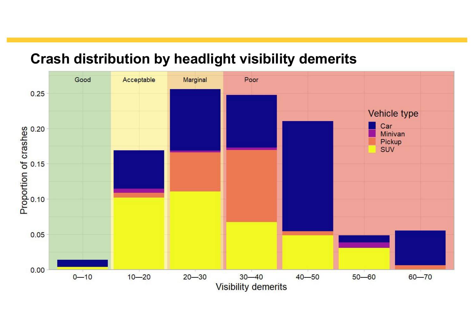

# **Crash distribution by headlight visibility demerits**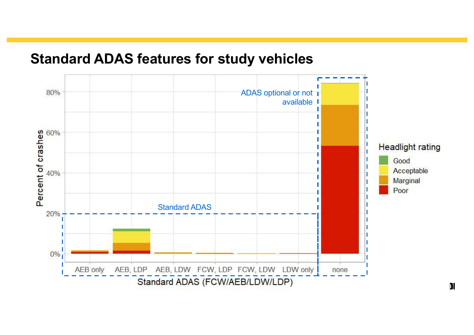#### **Standard ADAS features for study vehicles**

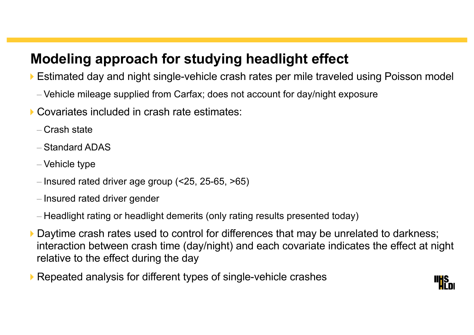# **Modeling approach for studying headlight effect**

▶ Estimated day and night single-vehicle crash rates per mile traveled using Poisson model

- Vehicle mileage supplied from Carfax; does not account for day/night exposure
- ▶ Covariates included in crash rate estimates:
	- Crash state
	- Standard ADAS
	- Vehicle type
	- Insured rated driver age group (<25, 25-65, >65)
	- Insured rated driver gender
	- Headlight rating or headlight demerits (only rating results presented today)
- Daytime crash rates used to control for differences that may be unrelated to darkness; interaction between crash time (day/night) and each covariate indicates the effect at night relative to the effect during the day
- ▶ Repeated analysis for different types of single-vehicle crashes

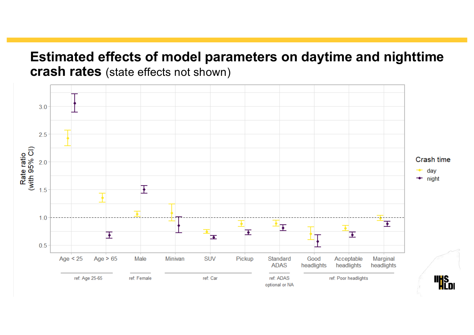#### **Estimated effects of model parameters on daytime and nighttime crash rates** (state effects not shown)

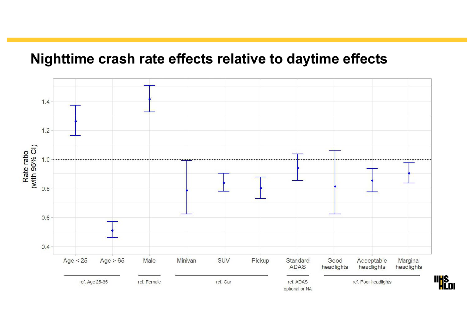## **Nighttime crash rate effects relative to daytime effects**

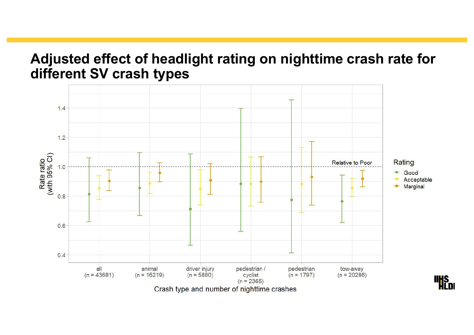## **Adjusted effect of headlight rating on nighttime crash rate for different SV crash types**

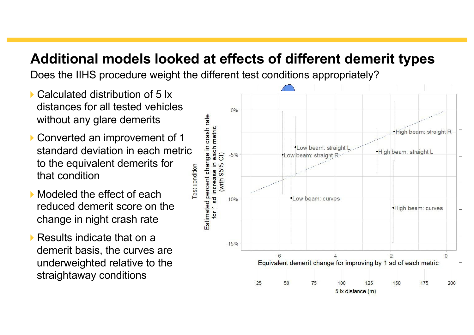# **Additional models looked at effects of different demerit types**

Does the IIHS procedure weight the different test conditions appropriately?

- ▶ Calculated distribution of 5 lx distances for all tested vehicles without any glare demerits
- ▶ Converted an improvement of 1 standard deviation in each metric to the equivalent demerits for **Test condition** that condition
- Modeled the effect of each reduced demerit score on the change in night crash rate
- $\blacktriangleright$  Results indicate that on a demerit basis, the curves are underweighted relative to the straightaway conditions

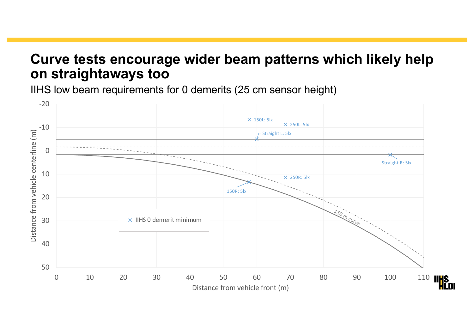#### **Curve tests encourage wider beam patterns which likely help on straightaways too**

IIHS low beam requirements for 0 demerits (25 cm sensor height)

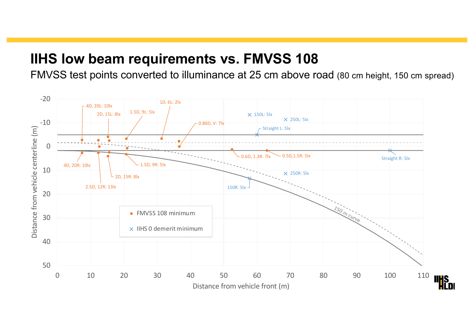# **IIHS low beam requirements vs. FMVSS 108**

FMVSS test points converted to illuminance at 25 cm above road (80 cm height, 150 cm spread)

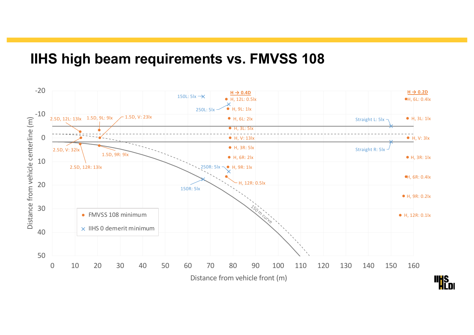## **IIHS high beam requirements vs. FMVSS 108**

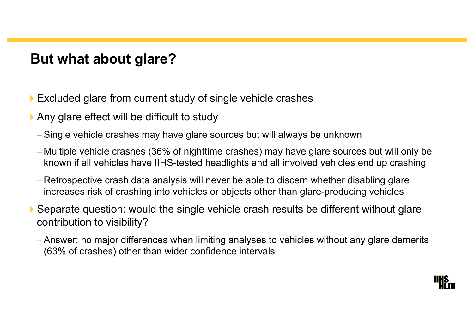# **But what about glare?**

- Excluded glare from current study of single vehicle crashes
- $\triangleright$  Any glare effect will be difficult to study
	- Single vehicle crashes may have glare sources but will always be unknown
	- Multiple vehicle crashes (36% of nighttime crashes) may have glare sources but will only be known if all vehicles have IIHS-tested headlights and all involved vehicles end up crashing
	- Retrospective crash data analysis will never be able to discern whether disabling glare increases risk of crashing into vehicles or objects other than glare-producing vehicles
- ▶ Separate question: would the single vehicle crash results be different without glare contribution to visibility?
	- Answer: no major differences when limiting analyses to vehicles without any glare demerits (63% of crashes) other than wider confidence intervals

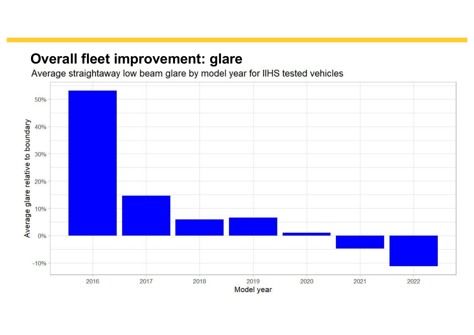## **Overall fleet improvement: glare**

Average straightaway low beam glare by model year for IIHS tested vehicles

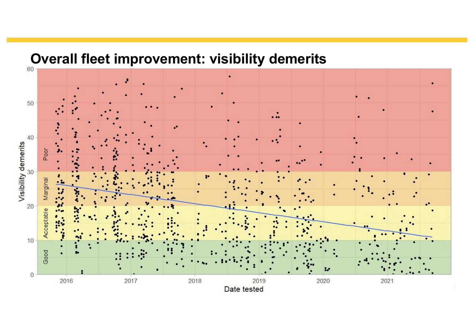

# **Overall fleet improvement: visibility demerits**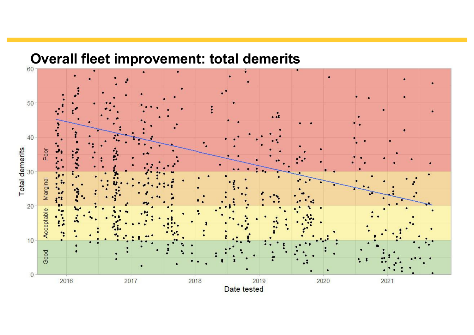

# **Overall fleet improvement: total demerits**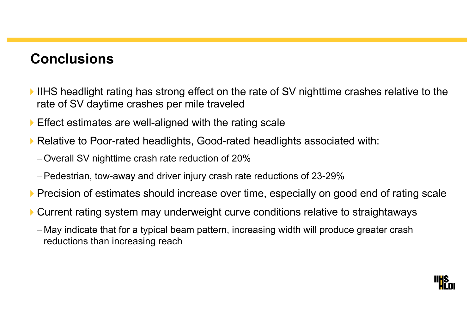## **Conclusions**

- 4IIHS headlight rating has strong effect on the rate of SV nighttime crashes relative to the rate of SV daytime crashes per mile traveled
- $\blacktriangleright$  Effect estimates are well-aligned with the rating scale
- ▶ Relative to Poor-rated headlights, Good-rated headlights associated with:
	- Overall SV nighttime crash rate reduction of 20%
	- Pedestrian, tow-away and driver injury crash rate reductions of 23-29%
- **Precision of estimates should increase over time, especially on good end of rating scale**
- 4Current rating system may underweight curve conditions relative to straightaways
	- May indicate that for a typical beam pattern, increasing width will produce greater crash reductions than increasing reach